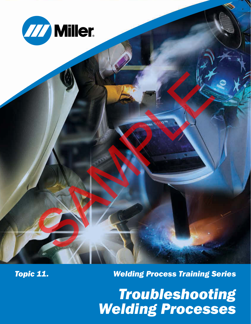



*Topic 11.*

*Welding Process Training Series*

*Troubleshooting Welding Processes*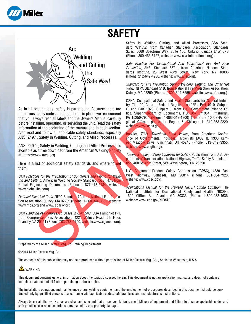

# **SAFETY**



As in all occupations, safety is paramount. Because there are numerous safety codes and regulations in place, we recommend that you always read all labels and the Owner's Manual carefully before installing, operating, or servicing the unit. Read the safety information at the beginning of the manual and in each section. Also read and follow all applicable safety standards, especially ANSI Z49.1, Safety in Welding, Cutting, and Allied Processes. The contract of the contract of the contract of the contract of the contract of the contract of the contract of the contract of the contract of the contract of the contract of the contract of the contract of the contract o

ANSI Z49.1:, Safety in Welding, Cutting, and Allied Processes is available as a free download from the American Welding Society at: http://www.aws.org

Here is a list of additional safety standards and where to get them.

*Safe Practices for the Preparation of Containers and Piping for Welding and Cutting*, American Welding Society Standard AWS F4.1, from Global Engineering Documents (Phone: 1-877-413-5184, website: www.global.ihs.com).

*National Electrical Code*, NFPA Standard 70, from National Fire Protection Association, Quincy, MA 02269 (Phone: 1-800-344-3555, website: www.nfpa.org and www. sparky.org).

*Safe Handling of Compressed Gases in Cylinders*, CGA Pamphlet P-1, from Compressed Gas Association, 4221 Walney Road, 5th Floor, Chantilly, VA 20151 (Phone: 703-788-2700, website:www.cganet.com).

Safety in Welding, Cutting, and Allied Processes, CSA Standard W117.2, from Canadian Standards Association, Standards Sales, 5060 Spectrum Way, Suite 100, Ontario, Canada L4W 5NS (Phone: 800-463-6727, website: www.csa-international.org).

*Safe Practice For Occupational And Educational Eye And Face Protection*, ANSI Standard Z87.1, from American National Standards Institute, 25 West 43rd Street, New York, NY 10036 (Phone: 212-642-4900, website: www.ansi.org).

*Standard for Fire Prevention During Welding, Cutting, and Other Hot Work*, NFPA Standard 51B, from National Fire Protection Association, Quincy, MA 02269 (Phone: 1-800-344-3555, website: www.nfpa.org.)

OSHA, Occupational Safety and Health Standards for General Industry, Title 29, Code of Federal Regulations (CFR), Part 1910, Subpart Q, and Part 1926, Subpart J, from U.S. Government Printing Office, Superintendent of Documents, P.O. Box 371954, Pittsburgh, PA 15250-7954 (Phone: 1-866-512-1800) (There are 10 OSHA Regional Offices—phone for Region 5, Chicago, is 312-353-2220, website: www.osha.gov).

Booklet, *TLVs, Threshold Limit Values*, from American Conference of Governmental Industrial Hygienists (ACGIH), 1330 Kemper Meadow Drive, Cincinnati, OH 45240 (Phone: 513−742−3355, website: www.acgih.org).

*Towing a Trailer − Being Equipped for Safety*, Publication from U.S. Department of Transportation, National Highway Traffic Safety Administration, 400 Seventh Street, SW, Washington, D.C. 20590

U.S. Consumer Product Safety Commission (CPSC), 4330 East West Highway, Bethesda, MD 20814 (Phone: 301-504-7923, website: www.cpsc.gov).

*Applications Manual for the Revised NIOSH Lifting Equation*, The National Institute for Occupational Safety and Health (NIOSH), 1600 Clifton Rd, Atlanta, GA 30333 (Phone: 1-800-232-4636, website: www.cdc.gov/NIOSH).

Prepared by the Miller Electric Mfg. Co. Training Department.

#### ©2014 Miller Electric Mfg. Co.

The contents of this publication may not be reproduced without permission of Miller Electric Mfg. Co. , Appleton Wisconsin, U.S.A.

### **A** WARNING

This document contains general information about the topics discussed herein. This document is not an application manual and does not contain a complete statement of all factors pertaining to those topics.

The installation, operation, and maintenance of arc welding equipment and the employment of procedures described in this document should be conducted only by qualified persons in accordance with applicable codes, safe practices, and manufacturer's instructions.

Always be certain that work areas are clean and safe and that proper ventilation is used. Misuse of equipment and failure to observe applicable codes and safe practices can result in serious personal injury and property damage.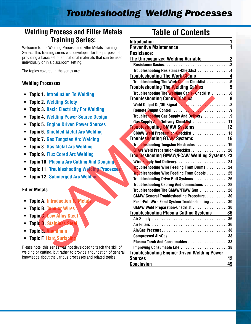## *Troubleshooting Welding Processes*

### **Welding Process and Filler Metals Training Series:**

Welcome to the Welding Process and Filler Metals Training Series. This training series was developed for the purpose of providing a basic set of educational materials that can be used individually or in a classroom setting.

The topics covered in the series are:

#### **Welding Processes**

- **• Topic 1. Introduction To Welding**
- **• Topic 2. Welding Safety**
- **• Topic 3. Basic Electricity For Welding**
- **• Topic 4. Welding Power Source Design**
- **• Topic 5. Engine Driven Power Sources**
- **• Topic 6. Shielded Metal Arc Welding**
- **• Topic 7. Gas Tungsten Arc Welding**
- **• Topic 8. Gas Metal Arc Welding**
- **• Topic 9. Flux Cored Arc Welding**
- **• Topic 10. Plasma Arc Cutting And Gouging**
- **• Topic 11. Troubleshooting Welding Processes**
- **• Topic 12. Submerged Arc Welding**

### **Filler Metals**

- **• Topic A. Introduction To Metals**
- **• Topic B. Tubular Wires**
- **• Topic C. Low Alloy Steel**
- **• Topic D. Stainle**
- **• Topic E. Aluminum**
- **• Topic F. Hard Surfacing**

Please note, this series was not developed to teach the skill of welding or cutting, but rather to provide a foundation of general knowledge about the various processes and related topics.

## **Table of Contents**

| Iraining Series:                                                                             | <b>Introduction</b>                                                                                                  |              |
|----------------------------------------------------------------------------------------------|----------------------------------------------------------------------------------------------------------------------|--------------|
| ne to the Welding Process and Filler Metals Training                                         | <b>Preventive Maintenance</b>                                                                                        |              |
| This training series was developed for the purpose of                                        | <b>Resistance:</b>                                                                                                   |              |
| ng a basic set of educational materials that can be used<br>ually or in a classroom setting. | <u>The Unrecognized Welding Variable Enter the Book of the Book of the Book of the Book of the Book of the Book </u> | $\mathbf{2}$ |
|                                                                                              | Resistance Basics3                                                                                                   |              |
| bics covered in the series are:                                                              | Troubleshooting Resistance-Checklist 4                                                                               |              |
|                                                                                              | <b>Troubleshooting The Work Clamp</b><br>Troubleshooting The Work Clamp-Checklist 5                                  |              |
| ing Processes                                                                                | <b>Troubleshooting The Welding Cables</b> 5                                                                          |              |
|                                                                                              | Troubleshooting The Welding Cable-Checklist 8                                                                        |              |
| pic 1. Introduction To Welding                                                               | <b>Troubleshooting Control Cables</b> 8                                                                              |              |
| pic 2. Welding Safety                                                                        | Weld Output On/Off Signal New York Marshall Marshall                                                                 |              |
| pic 3. Basic Electricity For Welding                                                         | Remote Output Control 9                                                                                              |              |
| pic 4. Welding Power Source Design                                                           | Troubleshooting Gas Supply And Delivery. 9                                                                           |              |
| pic 5. Engine Driven Power Sources                                                           | Gas Supply And Delivery-Checklist 11                                                                                 |              |
|                                                                                              | <b>Troubleshooting SMAW Systems</b> 12                                                                               |              |
| pic 6. Shielded Metal Arc Welding                                                            | SMAW Weld Preparation-Checklist 13                                                                                   |              |
| pic 7. Gas Tungsten Arc Welding                                                              | Troubleshooting GTAW Systems <b>16</b>                                                                               |              |
| pic 8. Gas Metal Arc Welding                                                                 | Troubleshooting Tungsten Electrodes19                                                                                |              |
| pic 9. Flux Cored Arc Welding                                                                | GTAW Weld Preparation-Checklist20<br><b>Troubleshooting GMAW/FCAW Welding Systems 23</b>                             |              |
| pic 10. Plasma Arc Cutting And Gouging                                                       |                                                                                                                      |              |
|                                                                                              | <b>Troubleshooting Wire Feeding From Drums</b> 24                                                                    |              |
| pic 11. Troubleshooting Welding Processes                                                    | <b>Trou</b> bleshooting Wire Feeding From Spools 25                                                                  |              |
| pic 12. Submerged Arc Welding                                                                | Troubleshooting Drive Roll Systems 26                                                                                |              |
|                                                                                              | Troubleshooting Cabling And Connections 28                                                                           |              |
| <b>Metals</b>                                                                                | Troubleshooting The GMAW/FCAW Gun 28                                                                                 |              |
|                                                                                              | <b>GMAW General Troubleshooting Procedure30</b>                                                                      |              |
| pic A. Introduction To Metals                                                                | Push-Pull Wire Feed System Troubleshooting30                                                                         |              |
| pic B. <mark>Tubular</mark> Wires`                                                           | GMAW Weld Preparation-Checklist 30                                                                                   |              |
| pic C. Low Alloy Steel                                                                       | <b>Troubleshooting Plasma Cutting Systems</b>                                                                        | 36           |
| pic D. Stainless Stee                                                                        |                                                                                                                      |              |
| pic E. Aluminum                                                                              | Air/Gas Pressure38                                                                                                   |              |
|                                                                                              |                                                                                                                      |              |
| pic F. Hard Surfacin                                                                         | Plasma Torch And Consumables 38                                                                                      |              |
| note, this series was not developed to teach the skill of                                    | Improving Consumable Life 38                                                                                         |              |
| g or cutting, but rather to provide a foundation of general                                  | <b>Troubleshooting Engine-Driven Welding Power</b>                                                                   |              |
| dge about the various processes and related topics.                                          | <b>Sources</b>                                                                                                       | 42           |
|                                                                                              | <b>Conclusion</b>                                                                                                    | 49           |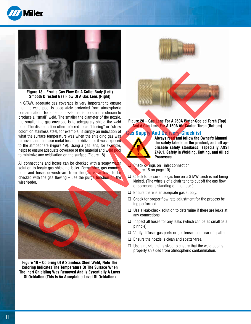



**Figure 18 – Erratic Gas Flow On A Collet Body (Left) Smooth Directed Gas Flow Of A Gas Lens (Right)**

In GTAW, adequate gas coverage is very important to ensure that the weld pool is adequately protected from atmospheric contamination. Too often, a nozzle that is too small is chosen to produce a "small" weld. The smaller the diameter of the nozzle, the smaller the gas envelope is to adequately shield the weld pool. The discoloration often referred to as "blueing" or "straw color" on stainless steel, for example, is simply an indication of what the surface temperature was when the shielding gas was removed and the base metal became oxidized as it was exposed to the atmosphere (Figure 19). Using a gas lens, for example, helps to ensure adequate coverage of the material and weld pool to minimize any oxidization on the surface (Figure 18).

All connections and hoses can be checked with a soapy water solution to locate gas shielding leaks. Remember, gas connections and hoses downstream from the gas valve have to be checked with the gas flowing  $-$  use the purge function on the wire feeder.



**Figure 19 – Coloring Of A Stainless Steel Weld, Note The Coloring Indicates The Temperature Of The Surface When The Inert Shielding Was Removed And Is Essentially A Layer Of Oxidation (This Is An Acceptable Level Of Oxidation)**



**Figure 20 – Gas Lens For A 250A Water-Cooled Torch (Top) And A Gas Lens For A 150A Air-Cooled Torch (Bottom)** 

#### **Gas Supply And Delivery-Checklist**



**Always read and follow the Owner's Manual, the safety labels on the product, and all applicable safety standards, especially ANSI Z49.1, Safety in Welding, Cutting, and Allied Processes.**

Check o-rings on inlet connection (Figure 15 on page 10).

- $\Box$  Check to be sure the gas line on a GTAW torch is not being kinked. (The wheels of a chair tend to cut off the gas flow or someone is standing on the hose.)
- $\Box$  Ensure there is an adequate gas supply.
- $\Box$  Check for proper flow rate adjustment for the process being performed.
- $\Box$  Use a leak-check solution to determine if there are leaks at any connections.
- $\Box$  Inspect all hoses for any leaks (which can be as small as a pinhole).
- $\Box$  Verify diffuser gas ports or gas lenses are clear of spatter.
- $\Box$  Ensure the nozzle is clean and spatter-free.
- $\Box$  Use a nozzle that is sized to ensure that the weld pool is properly shielded from atmospheric contamination.